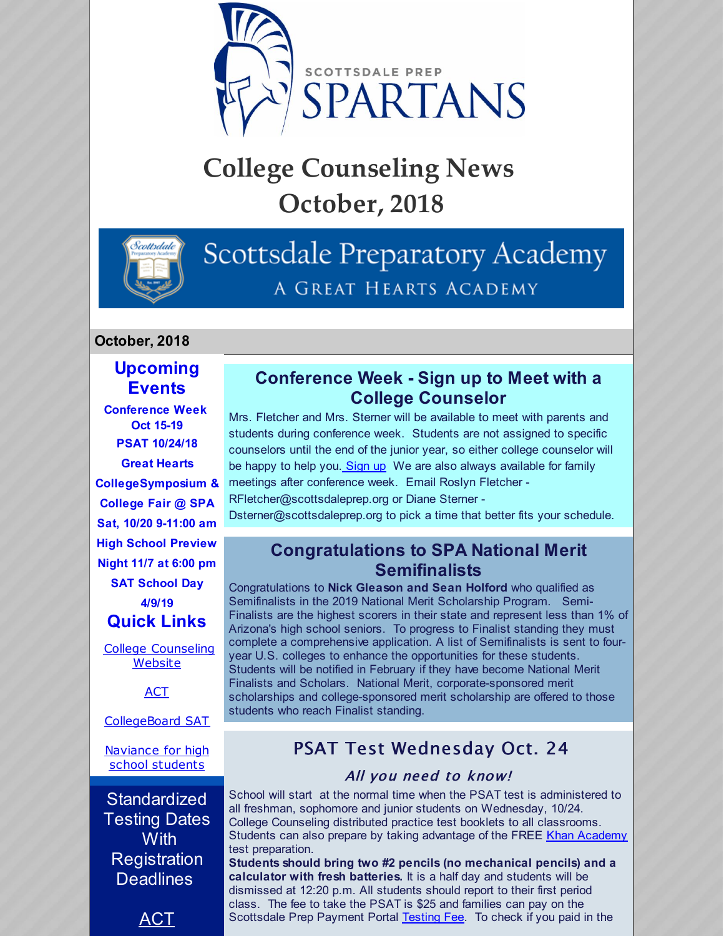

# **College Counseling News October, 2018**



## Scottsdale Preparatory Academy A GREAT HEARTS ACADEMY

#### **October, 2018**

## **Upcoming Events**

**Conference Week Oct 15-19 PSAT 10/24/18 Great Hearts CollegeSymposium & College Fair @ SPA Sat, 10/20 9-11:00 am High School Preview Night 11/7 at 6:00 pm SAT School Day 4/9/19 Quick Links** College [Counseling](http://scottsdaleprep.greatheartsacademies.org/academics/college-counseling/) Website [ACT](http://www.act.org/) [CollegeBoard](https://collegereadiness.collegeboard.org/sat) SAT [Naviance](https://www.naviance.com/) for high school students **Standardized** Testing Dates **With Registration** 

ACT

**Deadlines** 

### **Conference Week - Sign up to Meet with a College Counselor**

Mrs. Fletcher and Mrs. Sterner will be available to meet with parents and students during conference week. Students are not assigned to specific counselors until the end of the junior year, so either college counselor will be happy to help you. [Sign](https://www.signupgenius.com/go/4090c4ba4ae29a2f49-college) up We are also always available for family meetings after conference week. Email Roslyn Fletcher - RFletcher@scottsdaleprep.org or Diane Sterner -

Dsterner@scottsdaleprep.org to pick a time that better fits your schedule.

#### **Congratulations to SPA National Merit Semifinalists**

Congratulations to **Nick Gleason and Sean Holford** who qualified as Semifinalists in the 2019 National Merit Scholarship Program. Semi-Finalists are the highest scorers in their state and represent less than 1% of Arizona's high school seniors. To progress to Finalist standing they must complete a comprehensive application. A list of Semifinalists is sent to fouryear U.S. colleges to enhance the opportunities for these students. Students will be notified in February if they have become National Merit Finalists and Scholars. National Merit, corporate-sponsored merit scholarships and college-sponsored merit scholarship are offered to those students who reach Finalist standing.

## PSAT Test Wednesday Oct. 24

#### All you need to know!

School will start at the normal time when the PSAT test is administered to all freshman, sophomore and junior students on Wednesday, 10/24. College Counseling distributed practice test booklets to all classrooms. Students can also prepare by taking advantage of the FREE Khan [Academy](https://www.khanacademy.org/test-prep/sat/new-sat-tips-planning/new-sat-how-to-prep/a/full-length-psat-nmsqt) test preparation.

**Students should bring two #2 pencils (no mechanical pencils) and a calculator with fresh batteries.** It is a half day and students will be dismissed at 12:20 p.m. All students should report to their first period class. The fee to take the PSAT is \$25 and families can pay on the Scottsdale Prep Payment Portal [Testing](https://scottsdaleprep.configio.com/search?cid=405) Fee. To check if you paid in the